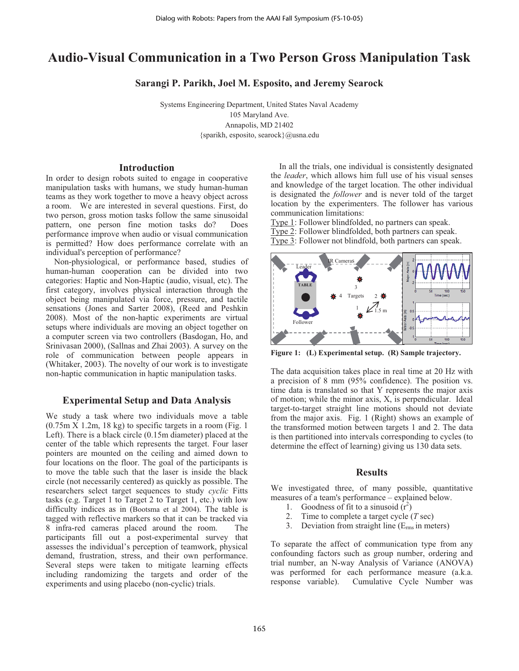# **Audio-Visual Communication in a Two Person Gross Manipulation Task**

**Sarangi P. Parikh, Joel M. Esposito, and Jeremy Searock** 

Systems Engineering Department, United States Naval Academy 105 Maryland Ave. Annapolis, MD 21402 {sparikh, esposito, searock}@usna.edu

### **Introduction**

In order to design robots suited to engage in cooperative manipulation tasks with humans, we study human-human teams as they work together to move a heavy object across a room. We are interested in several questions. First, do two person, gross motion tasks follow the same sinusoidal pattern, one person fine motion tasks do? Does performance improve when audio or visual communication is permitted? How does performance correlate with an individual's perception of performance?

 Non-physiological, or performance based, studies of human-human cooperation can be divided into two categories: Haptic and Non-Haptic (audio, visual, etc). The first category, involves physical interaction through the object being manipulated via force, pressure, and tactile sensations (Jones and Sarter 2008), (Reed and Peshkin 2008). Most of the non-haptic experiments are virtual setups where individuals are moving an object together on a computer screen via two controllers (Basdogan, Ho, and Srinivasan 2000), (Sallnas and Zhai 2003). A survey on the role of communication between people appears in (Whitaker, 2003). The novelty of our work is to investigate non-haptic communication in haptic manipulation tasks.

## **Experimental Setup and Data Analysis**

We study a task where two individuals move a table  $(0.75 \text{m} \times 1.2 \text{m}$ , 18 kg) to specific targets in a room (Fig. 1) Left). There is a black circle (0.15m diameter) placed at the center of the table which represents the target. Four laser pointers are mounted on the ceiling and aimed down to four locations on the floor. The goal of the participants is to move the table such that the laser is inside the black circle (not necessarily centered) as quickly as possible. The researchers select target sequences to study *cyclic* Fitts tasks (e.g. Target 1 to Target 2 to Target 1, etc.) with low difficulty indices as in (Bootsma et al 2004). The table is tagged with reflective markers so that it can be tracked via 8 infra-red cameras placed around the room. The participants fill out a post-experimental survey that assesses the individual's perception of teamwork, physical demand, frustration, stress, and their own performance. Several steps were taken to mitigate learning effects including randomizing the targets and order of the experiments and using placebo (non-cyclic) trials.

 In all the trials, one individual is consistently designated the *leader*, which allows him full use of his visual senses and knowledge of the target location. The other individual is designated the *follower* and is never told of the target location by the experimenters. The follower has various communication limitations:

Type 1: Follower blindfolded, no partners can speak. Type 2: Follower blindfolded, both partners can speak. Type 3: Follower not blindfold, both partners can speak.



**Figure 1: (L) Experimental setup. (R) Sample trajectory.** 

The data acquisition takes place in real time at 20 Hz with a precision of 8 mm (95% confidence). The position vs. time data is translated so that Y represents the major axis of motion; while the minor axis, X, is perpendicular. Ideal target-to-target straight line motions should not deviate from the major axis. Fig. 1 (Right) shows an example of the transformed motion between targets 1 and 2. The data is then partitioned into intervals corresponding to cycles (to determine the effect of learning) giving us 130 data sets.

## **Results**

We investigated three, of many possible, quantitative measures of a team's performance – explained below.

- 1. Goodness of fit to a sinusoid  $(r^2)$
- 2. Time to complete a target cycle (*T* sec)
- 3. Deviation from straight line  $(E_{rms} \text{ in meters})$

To separate the affect of communication type from any confounding factors such as group number, ordering and trial number, an N-way Analysis of Variance (ANOVA) was performed for each performance measure (a.k.a. response variable). Cumulative Cycle Number was